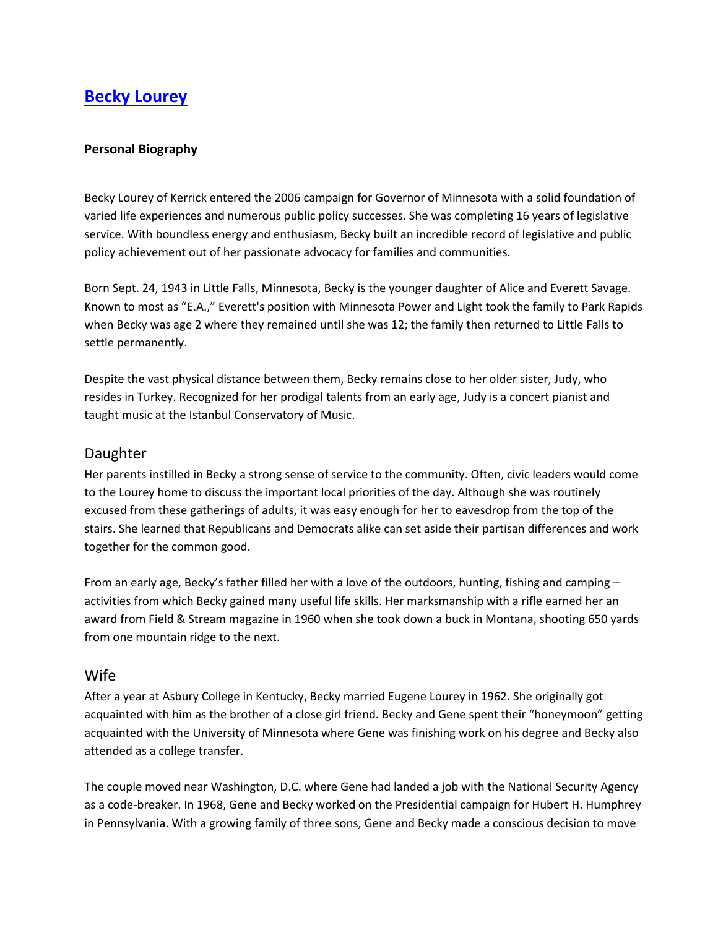# **[Becky Lourey](http://www.beckylourey.org/)**

#### **Personal Biography**

Becky Lourey of Kerrick entered the 2006 campaign for Governor of Minnesota with a solid foundation of varied life experiences and numerous public policy successes. She was completing 16 years of legislative service. With boundless energy and enthusiasm, Becky built an incredible record of legislative and public policy achievement out of her passionate advocacy for families and communities.

Born Sept. 24, 1943 in Little Falls, Minnesota, Becky is the younger daughter of Alice and Everett Savage. Known to most as "E.A.," Everett's position with Minnesota Power and Light took the family to Park Rapids when Becky was age 2 where they remained until she was 12; the family then returned to Little Falls to settle permanently.

Despite the vast physical distance between them, Becky remains close to her older sister, Judy, who resides in Turkey. Recognized for her prodigal talents from an early age, Judy is a concert pianist and taught music at the Istanbul Conservatory of Music.

### Daughter

Her parents instilled in Becky a strong sense of service to the community. Often, civic leaders would come to the Lourey home to discuss the important local priorities of the day. Although she was routinely excused from these gatherings of adults, it was easy enough for her to eavesdrop from the top of the stairs. She learned that Republicans and Democrats alike can set aside their partisan differences and work together for the common good.

From an early age, Becky's father filled her with a love of the outdoors, hunting, fishing and camping – activities from which Becky gained many useful life skills. Her marksmanship with a rifle earned her an award from Field & Stream magazine in 1960 when she took down a buck in Montana, shooting 650 yards from one mountain ridge to the next.

#### Wife

After a year at Asbury College in Kentucky, Becky married Eugene Lourey in 1962. She originally got acquainted with him as the brother of a close girl friend. Becky and Gene spent their "honeymoon" getting acquainted with the University of Minnesota where Gene was finishing work on his degree and Becky also attended as a college transfer.

The couple moved near Washington, D.C. where Gene had landed a job with the National Security Agency as a code-breaker. In 1968, Gene and Becky worked on the Presidential campaign for Hubert H. Humphrey in Pennsylvania. With a growing family of three sons, Gene and Becky made a conscious decision to move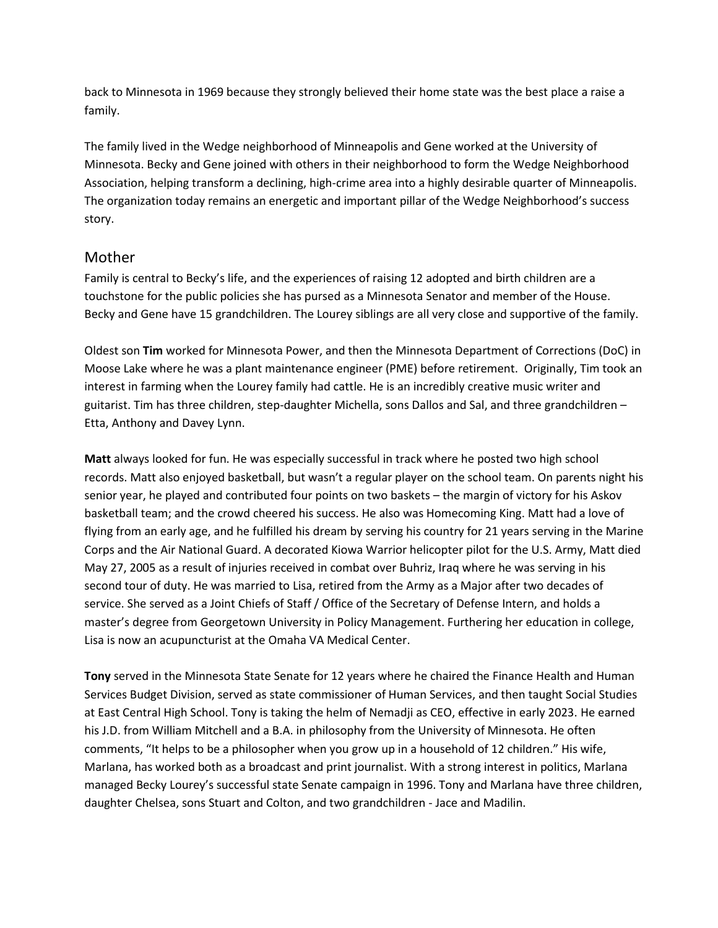back to Minnesota in 1969 because they strongly believed their home state was the best place a raise a family.

The family lived in the Wedge neighborhood of Minneapolis and Gene worked at the University of Minnesota. Becky and Gene joined with others in their neighborhood to form the Wedge Neighborhood Association, helping transform a declining, high-crime area into a highly desirable quarter of Minneapolis. The organization today remains an energetic and important pillar of the Wedge Neighborhood's success story.

## Mother

Family is central to Becky's life, and the experiences of raising 12 adopted and birth children are a touchstone for the public policies she has pursed as a Minnesota Senator and member of the House. Becky and Gene have 15 grandchildren. The Lourey siblings are all very close and supportive of the family.

Oldest son **Tim** worked for Minnesota Power, and then the Minnesota Department of Corrections (DoC) in Moose Lake where he was a plant maintenance engineer (PME) before retirement. Originally, Tim took an interest in farming when the Lourey family had cattle. He is an incredibly creative music writer and guitarist. Tim has three children, step-daughter Michella, sons Dallos and Sal, and three grandchildren – Etta, Anthony and Davey Lynn.

**Matt** always looked for fun. He was especially successful in track where he posted two high school records. Matt also enjoyed basketball, but wasn't a regular player on the school team. On parents night his senior year, he played and contributed four points on two baskets – the margin of victory for his Askov basketball team; and the crowd cheered his success. He also was Homecoming King. Matt had a love of flying from an early age, and he fulfilled his dream by serving his country for 21 years serving in the Marine Corps and the Air National Guard. A decorated Kiowa Warrior helicopter pilot for the U.S. Army, Matt died May 27, 2005 as a result of injuries received in combat over Buhriz, Iraq where he was serving in his second tour of duty. He was married to Lisa, retired from the Army as a Major after two decades of service. She served as a Joint Chiefs of Staff / Office of the Secretary of Defense Intern, and holds a master's degree from Georgetown University in Policy Management. Furthering her education in college, Lisa is now an acupuncturist at the Omaha VA Medical Center.

**Tony** served in the Minnesota State Senate for 12 years where he chaired the Finance Health and Human Services Budget Division, served as state commissioner of Human Services, and then taught Social Studies at East Central High School. Tony is taking the helm of Nemadji as CEO, effective in early 2023. He earned his J.D. from William Mitchell and a B.A. in philosophy from the University of Minnesota. He often comments, "It helps to be a philosopher when you grow up in a household of 12 children." His wife, Marlana, has worked both as a broadcast and print journalist. With a strong interest in politics, Marlana managed Becky Lourey's successful state Senate campaign in 1996. Tony and Marlana have three children, daughter Chelsea, sons Stuart and Colton, and two grandchildren - Jace and Madilin.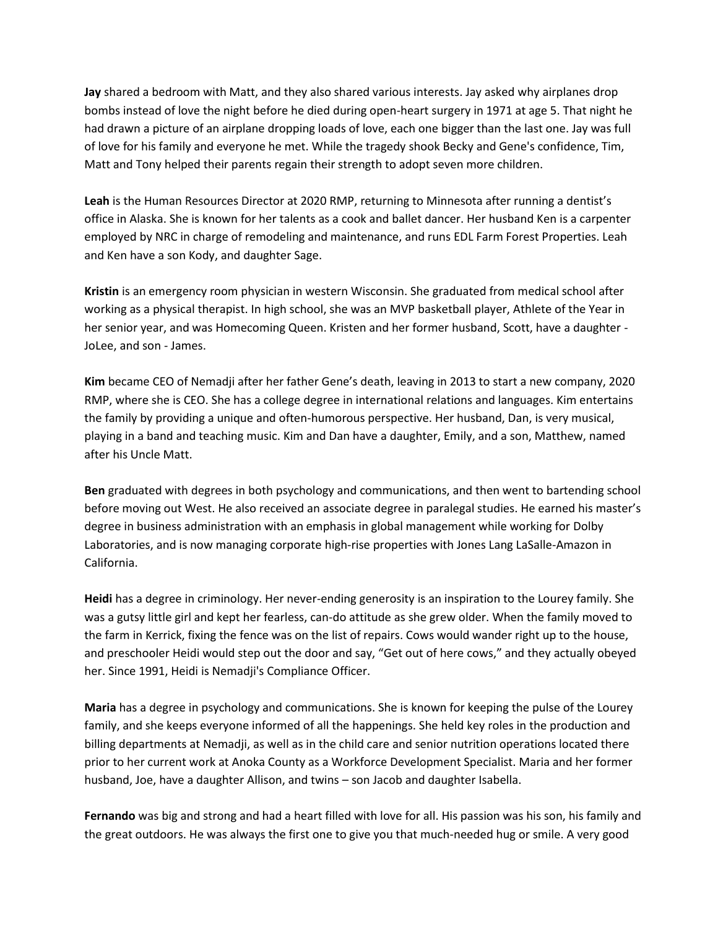**Jay** shared a bedroom with Matt, and they also shared various interests. Jay asked why airplanes drop bombs instead of love the night before he died during open-heart surgery in 1971 at age 5. That night he had drawn a picture of an airplane dropping loads of love, each one bigger than the last one. Jay was full of love for his family and everyone he met. While the tragedy shook Becky and Gene's confidence, Tim, Matt and Tony helped their parents regain their strength to adopt seven more children.

**Leah** is the Human Resources Director at 2020 RMP, returning to Minnesota after running a dentist's office in Alaska. She is known for her talents as a cook and ballet dancer. Her husband Ken is a carpenter employed by NRC in charge of remodeling and maintenance, and runs EDL Farm Forest Properties. Leah and Ken have a son Kody, and daughter Sage.

**Kristin** is an emergency room physician in western Wisconsin. She graduated from medical school after working as a physical therapist. In high school, she was an MVP basketball player, Athlete of the Year in her senior year, and was Homecoming Queen. Kristen and her former husband, Scott, have a daughter - JoLee, and son - James.

**Kim** became CEO of Nemadji after her father Gene's death, leaving in 2013 to start a new company, 2020 RMP, where she is CEO. She has a college degree in international relations and languages. Kim entertains the family by providing a unique and often-humorous perspective. Her husband, Dan, is very musical, playing in a band and teaching music. Kim and Dan have a daughter, Emily, and a son, Matthew, named after his Uncle Matt.

**Ben** graduated with degrees in both psychology and communications, and then went to bartending school before moving out West. He also received an associate degree in paralegal studies. He earned his master's degree in business administration with an emphasis in global management while working for Dolby Laboratories, and is now managing corporate high-rise properties with Jones Lang LaSalle-Amazon in California.

**Heidi** has a degree in criminology. Her never-ending generosity is an inspiration to the Lourey family. She was a gutsy little girl and kept her fearless, can-do attitude as she grew older. When the family moved to the farm in Kerrick, fixing the fence was on the list of repairs. Cows would wander right up to the house, and preschooler Heidi would step out the door and say, "Get out of here cows," and they actually obeyed her. Since 1991, Heidi is Nemadji's Compliance Officer.

**Maria** has a degree in psychology and communications. She is known for keeping the pulse of the Lourey family, and she keeps everyone informed of all the happenings. She held key roles in the production and billing departments at Nemadji, as well as in the child care and senior nutrition operations located there prior to her current work at Anoka County as a Workforce Development Specialist. Maria and her former husband, Joe, have a daughter Allison, and twins – son Jacob and daughter Isabella.

**Fernando** was big and strong and had a heart filled with love for all. His passion was his son, his family and the great outdoors. He was always the first one to give you that much-needed hug or smile. A very good